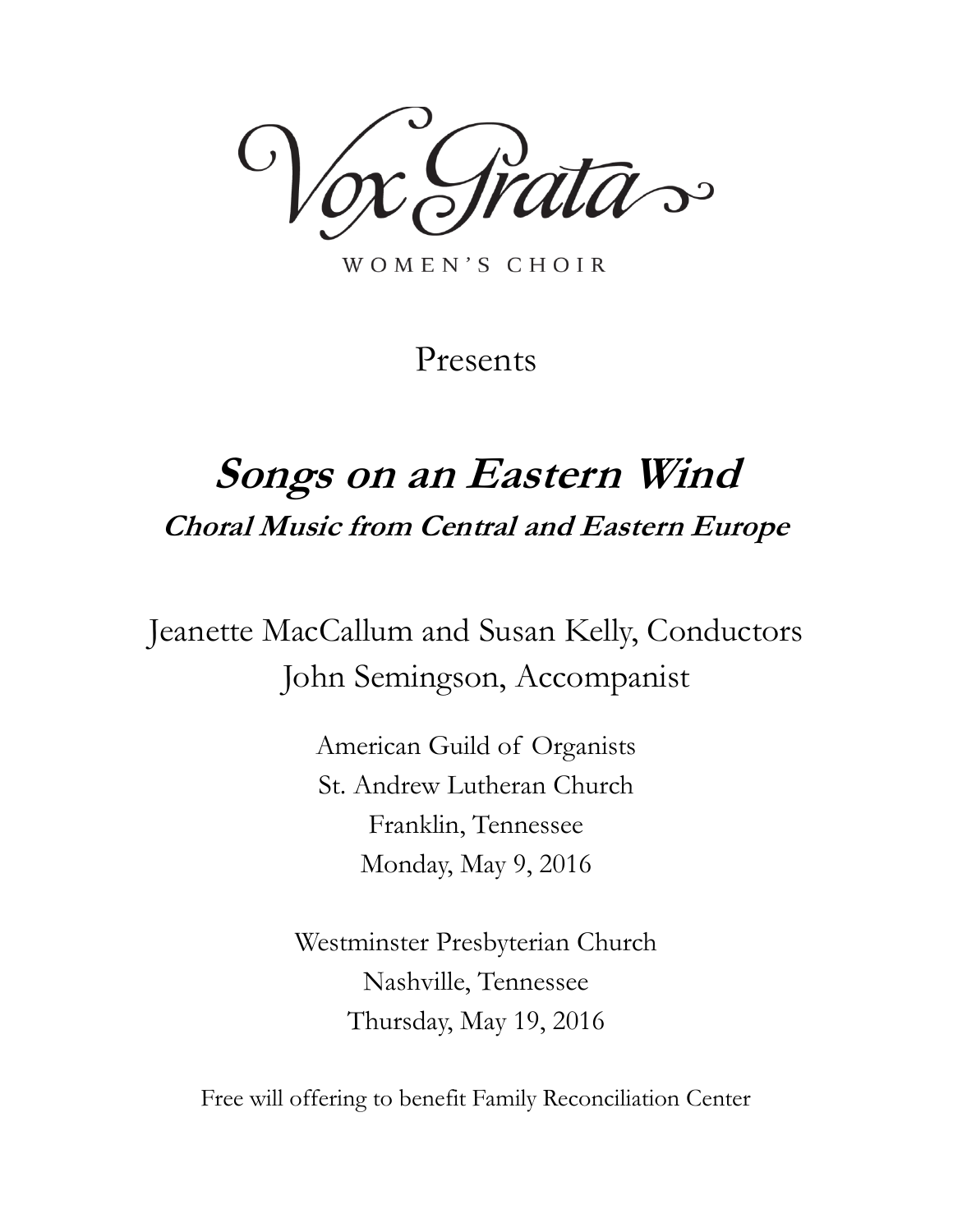WOMEN'S CHOIR

Presents

# **Songs on an Eastern Wind Choral Music from Central and Eastern Europe**

Jeanette MacCallum and Susan Kelly, Conductors John Semingson, Accompanist

> American Guild of Organists St. Andrew Lutheran Church Franklin, Tennessee Monday, May 9, 2016

Westminster Presbyterian Church Nashville, Tennessee Thursday, May 19, 2016

Free will offering to benefit Family Reconciliation Center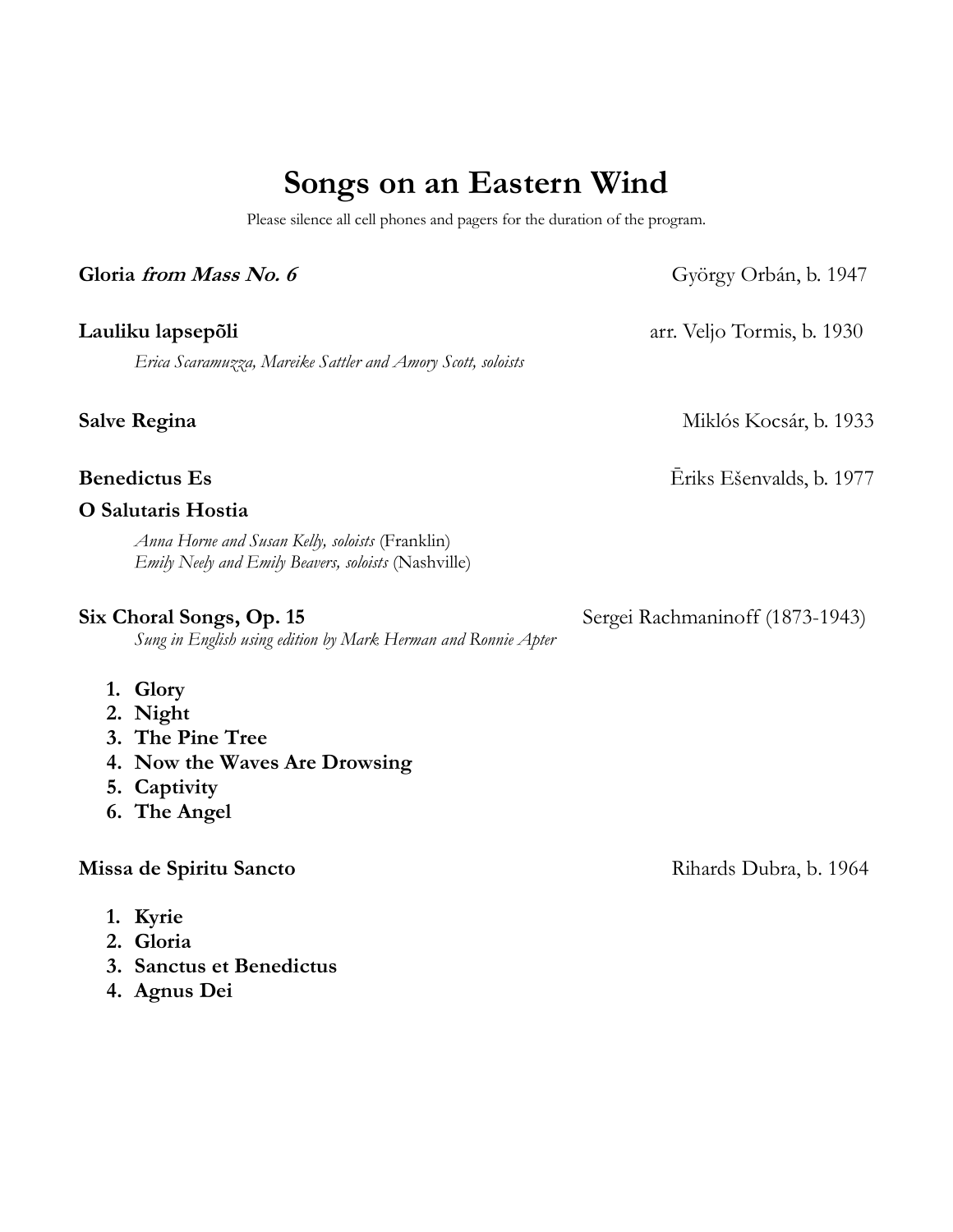# **Songs on an Eastern Wind**

Please silence all cell phones and pagers for the duration of the program.

| Gloria from Mass No. 6                                                                                               | György Orbán, b. 1947           |
|----------------------------------------------------------------------------------------------------------------------|---------------------------------|
| Lauliku lapsepõli                                                                                                    | arr. Veljo Tormis, b. 1930      |
| Erica Scaramuzza, Mareike Sattler and Amory Scott, soloists                                                          |                                 |
| Salve Regina                                                                                                         | Miklós Kocsár, b. 1933          |
| <b>Benedictus Es</b>                                                                                                 | Eriks Ešenvalds, b. 1977        |
| <b>O</b> Salutaris Hostia                                                                                            |                                 |
| <i>Anna Horne and Susan Kelly, soloists</i> (Franklin)<br><i>Emily Neely and Emily Beavers, soloists</i> (Nashville) |                                 |
| Six Choral Songs, Op. 15<br>Sung in English using edition by Mark Herman and Ronnie Apter                            | Sergei Rachmaninoff (1873-1943) |
| 1. Glory<br>2. Night<br>3. The Pine Tree<br>4. Now the Waves Are Drowsing<br>5. Captivity<br>6. The Angel            |                                 |
| Missa de Spiritu Sancto                                                                                              | Rihards Dubra, b. 1964          |
| 1. Kyrie<br>2. Gloria<br>3. Sanctus et Benedictus<br>4. Agnus Dei                                                    |                                 |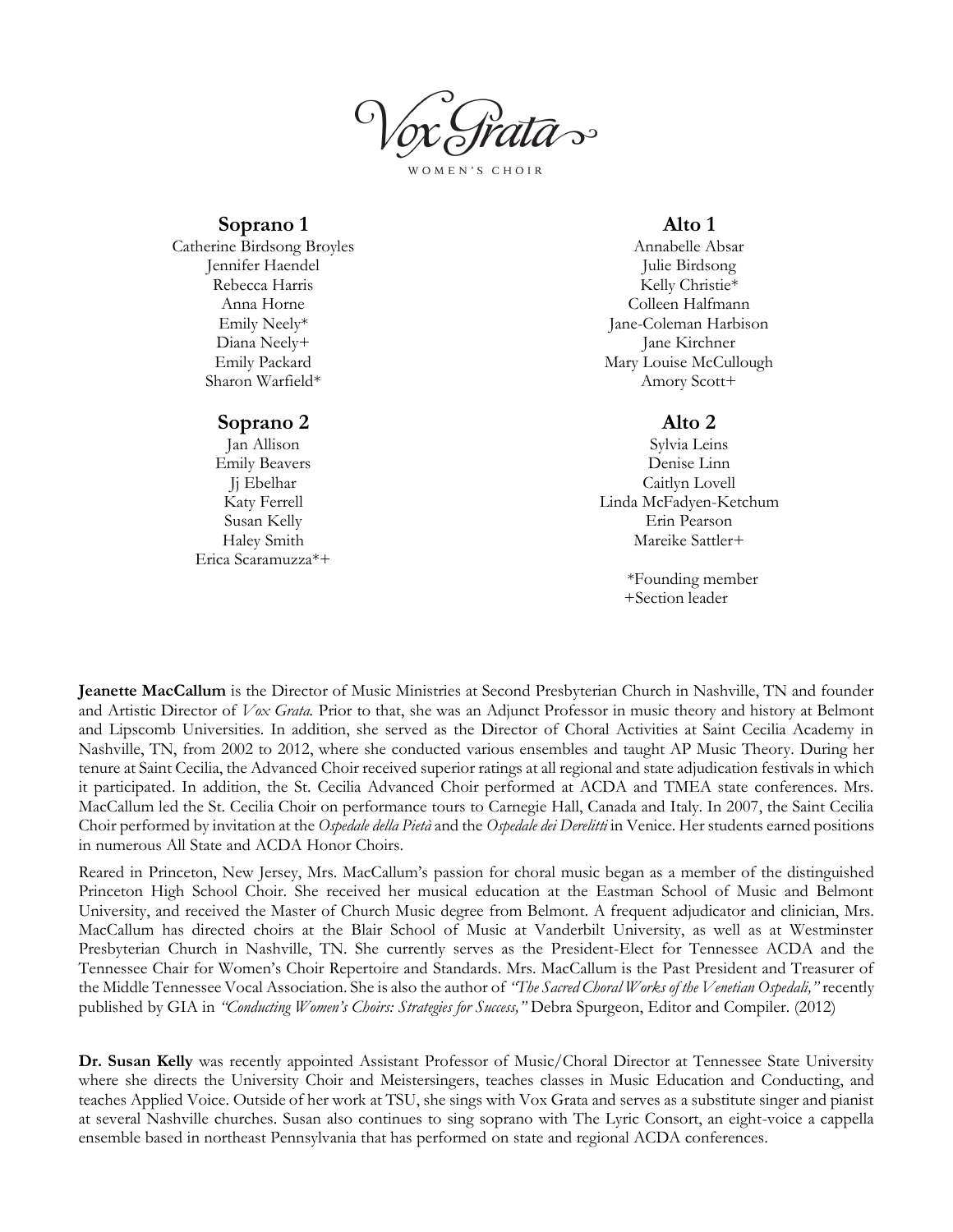WOMEN'S CHOIR

#### **Soprano 1**

Catherine Birdsong Broyles Jennifer Haendel Rebecca Harris Anna Horne Emily Neely\* Diana Neely+ Emily Packard Sharon Warfield\*

#### **Soprano 2**

Jan Allison Emily Beavers Jj Ebelhar Katy Ferrell Susan Kelly Haley Smith Erica Scaramuzza\*+

#### **Alto 1**

Annabelle Absar Julie Birdsong Kelly Christie\* Colleen Halfmann Jane-Coleman Harbison Jane Kirchner Mary Louise McCullough Amory Scott+

#### **Alto 2**

Sylvia Leins Denise Linn Caitlyn Lovell Linda McFadyen-Ketchum Erin Pearson Mareike Sattler+

> \*Founding member +Section leader

**Jeanette MacCallum** is the Director of Music Ministries at Second Presbyterian Church in Nashville, TN and founder and Artistic Director of *Vox Grata.* Prior to that, she was an Adjunct Professor in music theory and history at Belmont and Lipscomb Universities. In addition, she served as the Director of Choral Activities at Saint Cecilia Academy in Nashville, TN, from 2002 to 2012, where she conducted various ensembles and taught AP Music Theory. During her tenure at Saint Cecilia, the Advanced Choir received superior ratings at all regional and state adjudication festivals in which it participated. In addition, the St. Cecilia Advanced Choir performed at ACDA and TMEA state conferences. Mrs. MacCallum led the St. Cecilia Choir on performance tours to Carnegie Hall, Canada and Italy. In 2007, the Saint Cecilia Choir performed by invitation at the *Ospedale della Pietà* and the *Ospedale dei Derelitti* in Venice. Her students earned positions in numerous All State and ACDA Honor Choirs.

Reared in Princeton, New Jersey, Mrs. MacCallum's passion for choral music began as a member of the distinguished Princeton High School Choir. She received her musical education at the Eastman School of Music and Belmont University, and received the Master of Church Music degree from Belmont. A frequent adjudicator and clinician, Mrs. MacCallum has directed choirs at the Blair School of Music at Vanderbilt University, as well as at Westminster Presbyterian Church in Nashville, TN. She currently serves as the President-Elect for Tennessee ACDA and the Tennessee Chair for Women's Choir Repertoire and Standards. Mrs. MacCallum is the Past President and Treasurer of the Middle Tennessee Vocal Association. She is also the author of *"The Sacred Choral Works of the Venetian Ospedali,"* recently published by GIA in *"Conducting Women's Choirs: Strategies for Success,"* Debra Spurgeon, Editor and Compiler. (2012)

**Dr. Susan Kelly** was recently appointed Assistant Professor of Music/Choral Director at Tennessee State University where she directs the University Choir and Meistersingers, teaches classes in Music Education and Conducting, and teaches Applied Voice. Outside of her work at TSU, she sings with Vox Grata and serves as a substitute singer and pianist at several Nashville churches. Susan also continues to sing soprano with The Lyric Consort, an eight-voice a cappella ensemble based in northeast Pennsylvania that has performed on state and regional ACDA conferences.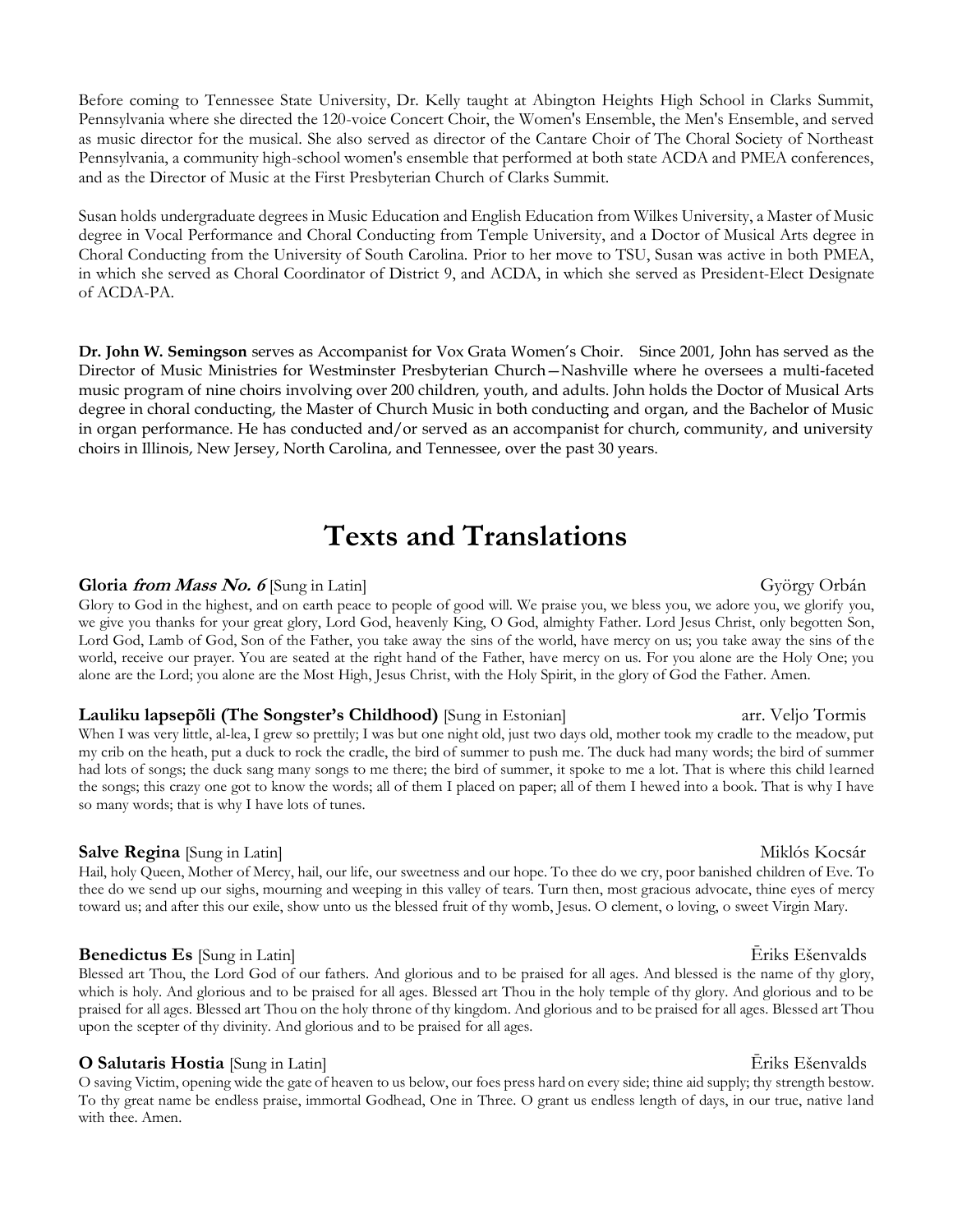Before coming to Tennessee State University, Dr. Kelly taught at Abington Heights High School in Clarks Summit, Pennsylvania where she directed the 120-voice Concert Choir, the Women's Ensemble, the Men's Ensemble, and served as music director for the musical. She also served as director of the Cantare Choir of The Choral Society of Northeast Pennsylvania, a community high-school women's ensemble that performed at both state ACDA and PMEA conferences, and as the Director of Music at the First Presbyterian Church of Clarks Summit.

Susan holds undergraduate degrees in Music Education and English Education from Wilkes University, a Master of Music degree in Vocal Performance and Choral Conducting from Temple University, and a Doctor of Musical Arts degree in Choral Conducting from the University of South Carolina. Prior to her move to TSU, Susan was active in both PMEA, in which she served as Choral Coordinator of District 9, and ACDA, in which she served as President-Elect Designate of ACDA-PA.

**Dr. John W. Semingson** serves as Accompanist for Vox Grata Women's Choir. Since 2001, John has served as the Director of Music Ministries for Westminster Presbyterian Church—Nashville where he oversees a multi-faceted music program of nine choirs involving over 200 children, youth, and adults. John holds the Doctor of Musical Arts degree in choral conducting, the Master of Church Music in both conducting and organ, and the Bachelor of Music in organ performance. He has conducted and/or served as an accompanist for church, community, and university choirs in Illinois, New Jersey, North Carolina, and Tennessee, over the past 30 years.

## **Texts and Translations**

#### **Gloria** *from Mass No. 6* [Sung in Latin] György Orbán

Glory to God in the highest, and on earth peace to people of good will. We praise you, we bless you, we adore you, we glorify you, we give you thanks for your great glory, Lord God, heavenly King, O God, almighty Father. Lord Jesus Christ, only begotten Son, Lord God, Lamb of God, Son of the Father, you take away the sins of the world, have mercy on us; you take away the sins of the world, receive our prayer. You are seated at the right hand of the Father, have mercy on us. For you alone are the Holy One; you alone are the Lord; you alone are the Most High, Jesus Christ, with the Holy Spirit, in the glory of God the Father. Amen.

#### **Lauliku lapsepõli (The Songster's Childhood)** [Sung in Estonian] **arr.** Veljo Tormis

When I was very little, al-lea, I grew so prettily; I was but one night old, just two days old, mother took my cradle to the meadow, put my crib on the heath, put a duck to rock the cradle, the bird of summer to push me. The duck had many words; the bird of summer had lots of songs; the duck sang many songs to me there; the bird of summer, it spoke to me a lot. That is where this child learned the songs; this crazy one got to know the words; all of them I placed on paper; all of them I hewed into a book. That is why I have so many words; that is why I have lots of tunes.

### **Salve Regina** [Sung in Latin] **Miklós Kocsár** Miklós Kocsár

Hail, holy Queen, Mother of Mercy, hail, our life, our sweetness and our hope. To thee do we cry, poor banished children of Eve. To thee do we send up our sighs, mourning and weeping in this valley of tears. Turn then, most gracious advocate, thine eyes of mercy toward us; and after this our exile, show unto us the blessed fruit of thy womb, Jesus. O clement, o loving, o sweet Virgin Mary.

### **Benedictus Es** [Sung in Latin]Ēriks Ešenvalds

Blessed art Thou, the Lord God of our fathers. And glorious and to be praised for all ages. And blessed is the name of thy glory, which is holy. And glorious and to be praised for all ages. Blessed art Thou in the holy temple of thy glory. And glorious and to be praised for all ages. Blessed art Thou on the holy throne of thy kingdom. And glorious and to be praised for all ages. Blessed art Thou upon the scepter of thy divinity. And glorious and to be praised for all ages.

### **O Salutaris Hostia** [Sung in Latin]Ēriks Ešenvalds

O saving Victim, opening wide the gate of heaven to us below, our foes press hard on every side; thine aid supply; thy strength bestow. To thy great name be endless praise, immortal Godhead, One in Three. O grant us endless length of days, in our true, native land with thee. Amen.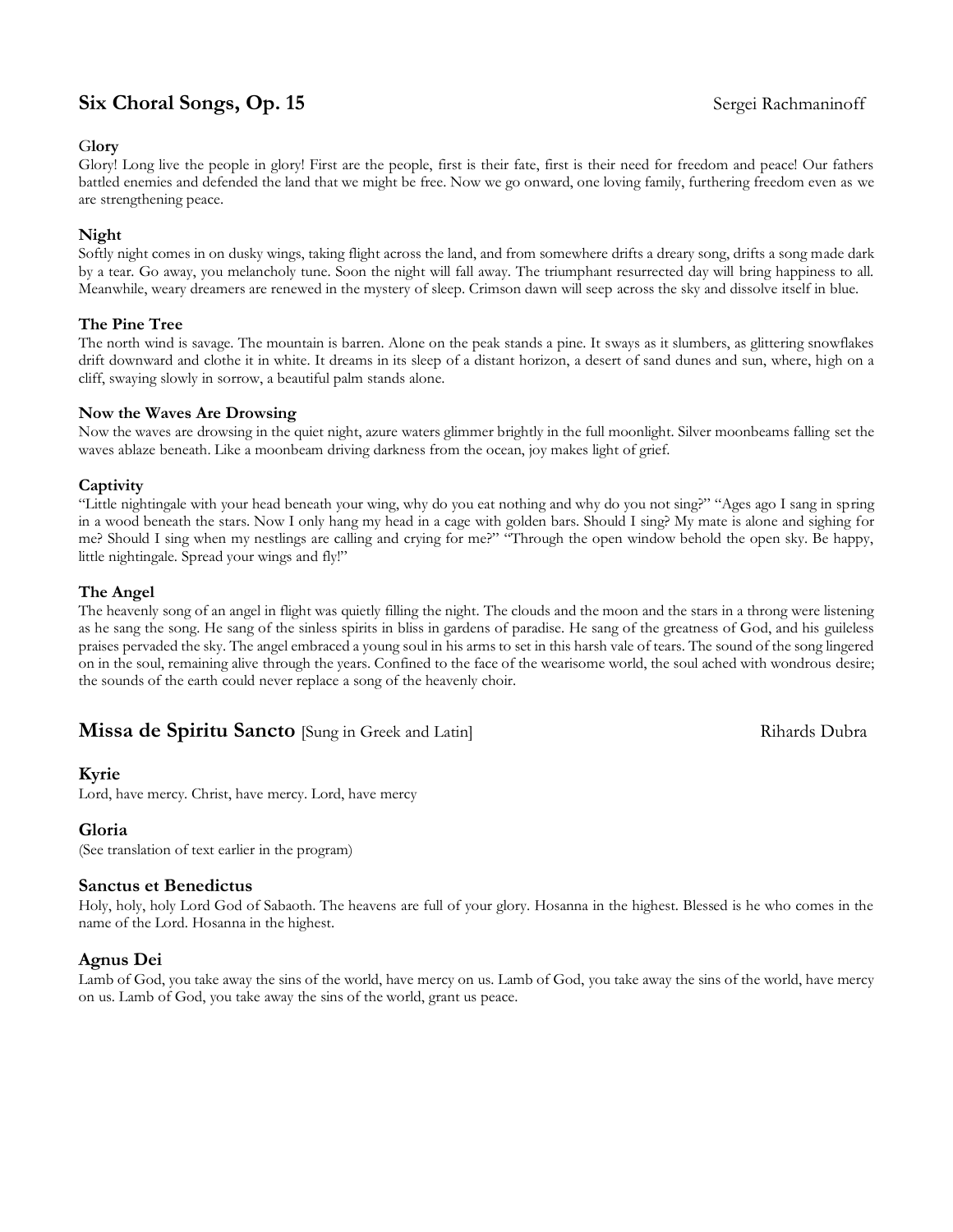### **Six Choral Songs, Op. 15** Sergei Rachmaninoff

#### G**lory**

Glory! Long live the people in glory! First are the people, first is their fate, first is their need for freedom and peace! Our fathers battled enemies and defended the land that we might be free. Now we go onward, one loving family, furthering freedom even as we are strengthening peace.

### **Night**

Softly night comes in on dusky wings, taking flight across the land, and from somewhere drifts a dreary song, drifts a song made dark by a tear. Go away, you melancholy tune. Soon the night will fall away. The triumphant resurrected day will bring happiness to all. Meanwhile, weary dreamers are renewed in the mystery of sleep. Crimson dawn will seep across the sky and dissolve itself in blue.

#### **The Pine Tree**

The north wind is savage. The mountain is barren. Alone on the peak stands a pine. It sways as it slumbers, as glittering snowflakes drift downward and clothe it in white. It dreams in its sleep of a distant horizon, a desert of sand dunes and sun, where, high on a cliff, swaying slowly in sorrow, a beautiful palm stands alone.

#### **Now the Waves Are Drowsing**

Now the waves are drowsing in the quiet night, azure waters glimmer brightly in the full moonlight. Silver moonbeams falling set the waves ablaze beneath. Like a moonbeam driving darkness from the ocean, joy makes light of grief.

#### **Captivity**

"Little nightingale with your head beneath your wing, why do you eat nothing and why do you not sing?" "Ages ago I sang in spring in a wood beneath the stars. Now I only hang my head in a cage with golden bars. Should I sing? My mate is alone and sighing for me? Should I sing when my nestlings are calling and crying for me?" "Through the open window behold the open sky. Be happy, little nightingale. Spread your wings and fly!"

#### **The Angel**

The heavenly song of an angel in flight was quietly filling the night. The clouds and the moon and the stars in a throng were listening as he sang the song. He sang of the sinless spirits in bliss in gardens of paradise. He sang of the greatness of God, and his guileless praises pervaded the sky. The angel embraced a young soul in his arms to set in this harsh vale of tears. The sound of the song lingered on in the soul, remaining alive through the years. Confined to the face of the wearisome world, the soul ached with wondrous desire; the sounds of the earth could never replace a song of the heavenly choir.

### **Missa de Spiritu Sancto** [Sung in Greek and Latin] Rihards Dubra

#### **Kyrie**

Lord, have mercy. Christ, have mercy. Lord, have mercy

#### **Gloria**

(See translation of text earlier in the program)

#### **Sanctus et Benedictus**

Holy, holy, holy Lord God of Sabaoth. The heavens are full of your glory. Hosanna in the highest. Blessed is he who comes in the name of the Lord. Hosanna in the highest.

### **Agnus Dei**

Lamb of God, you take away the sins of the world, have mercy on us. Lamb of God, you take away the sins of the world, have mercy on us. Lamb of God, you take away the sins of the world, grant us peace.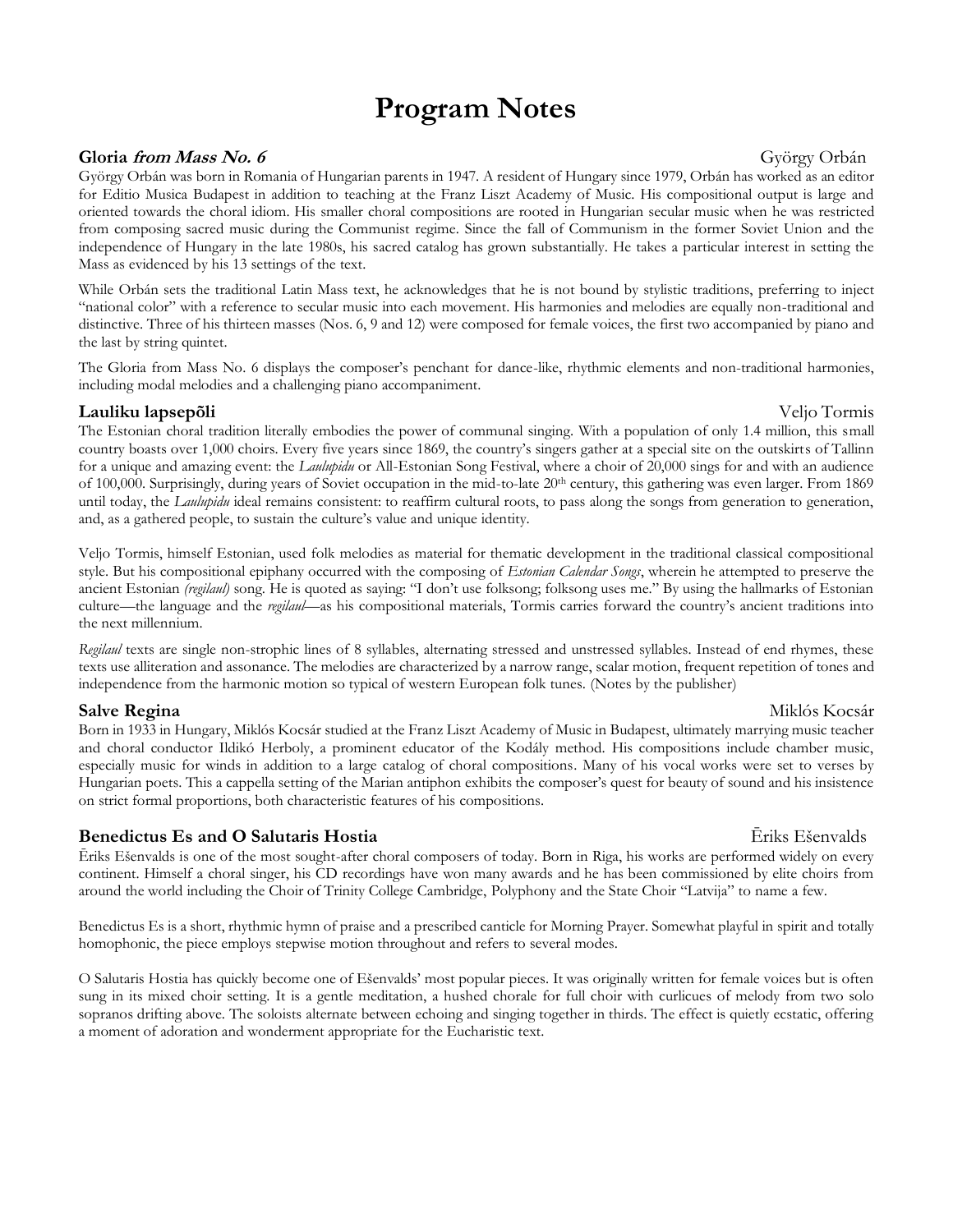## **Program Notes**

#### **Gloria from Mass No. 6** György Orbán

György Orbán was born in Romania of Hungarian parents in 1947. A resident of Hungary since 1979, Orbán has worked as an editor for Editio Musica Budapest in addition to teaching at the Franz Liszt Academy of Music. His compositional output is large and oriented towards the choral idiom. His smaller choral compositions are rooted in Hungarian secular music when he was restricted from composing sacred music during the Communist regime. Since the fall of Communism in the former Soviet Union and the independence of Hungary in the late 1980s, his sacred catalog has grown substantially. He takes a particular interest in setting the Mass as evidenced by his 13 settings of the text.

While Orbán sets the traditional Latin Mass text, he acknowledges that he is not bound by stylistic traditions, preferring to inject "national color" with a reference to secular music into each movement. His harmonies and melodies are equally non-traditional and distinctive. Three of his thirteen masses (Nos. 6, 9 and 12) were composed for female voices, the first two accompanied by piano and the last by string quintet.

The Gloria from Mass No. 6 displays the composer's penchant for dance-like, rhythmic elements and non-traditional harmonies, including modal melodies and a challenging piano accompaniment.

#### **Lauliku lapsepõli**Veljo Tormis

The Estonian choral tradition literally embodies the power of communal singing. With a population of only 1.4 million, this small country boasts over 1,000 choirs. Every five years since 1869, the country's singers gather at a special site on the outskirts of Tallinn for a unique and amazing event: the *Laulupidu* or All-Estonian Song Festival, where a choir of 20,000 sings for and with an audience of 100,000. Surprisingly, during years of Soviet occupation in the mid-to-late 20th century, this gathering was even larger. From 1869 until today, the *Laulupidu* ideal remains consistent: to reaffirm cultural roots, to pass along the songs from generation to generation, and, as a gathered people, to sustain the culture's value and unique identity.

Veljo Tormis, himself Estonian, used folk melodies as material for thematic development in the traditional classical compositional style. But his compositional epiphany occurred with the composing of *Estonian Calendar Songs*, wherein he attempted to preserve the ancient Estonian *(regilaul)* song. He is quoted as saying: "I don't use folksong; folksong uses me." By using the hallmarks of Estonian culture—the language and the *regilaul*—as his compositional materials, Tormis carries forward the country's ancient traditions into the next millennium.

*Regilaul* texts are single non-strophic lines of 8 syllables, alternating stressed and unstressed syllables. Instead of end rhymes, these texts use alliteration and assonance. The melodies are characterized by a narrow range, scalar motion, frequent repetition of tones and independence from the harmonic motion so typical of western European folk tunes. (Notes by the publisher)

### **Salve Regina** Miklós Kocsár

Born in 1933 in Hungary, Miklós Kocsár studied at the Franz Liszt Academy of Music in Budapest, ultimately marrying music teacher and choral conductor Ildikó Herboly, a prominent educator of the Kodály method. His compositions include chamber music, especially music for winds in addition to a large catalog of choral compositions. Many of his vocal works were set to verses by Hungarian poets. This a cappella setting of the Marian antiphon exhibits the composer's quest for beauty of sound and his insistence on strict formal proportions, both characteristic features of his compositions.

### **Benedictus Es and O Salutaris Hostia Exercía Es and O Salutaris Hostia Exercía Es and O Salutaris Hostia**

#### Ēriks Ešenvalds is one of the most sought-after choral composers of today. Born in Riga, his works are performed widely on every continent. Himself a choral singer, his CD recordings have won many awards and he has been commissioned by elite choirs from around the world including the Choir of Trinity College Cambridge, Polyphony and the State Choir "Latvija" to name a few.

Benedictus Es is a short, rhythmic hymn of praise and a prescribed canticle for Morning Prayer. Somewhat playful in spirit and totally homophonic, the piece employs stepwise motion throughout and refers to several modes.

O Salutaris Hostia has quickly become one of Ešenvalds' most popular pieces. It was originally written for female voices but is often sung in its mixed choir setting. It is a gentle meditation, a hushed chorale for full choir with curlicues of melody from two solo sopranos drifting above. The soloists alternate between echoing and singing together in thirds. The effect is quietly ecstatic, offering a moment of adoration and wonderment appropriate for the Eucharistic text.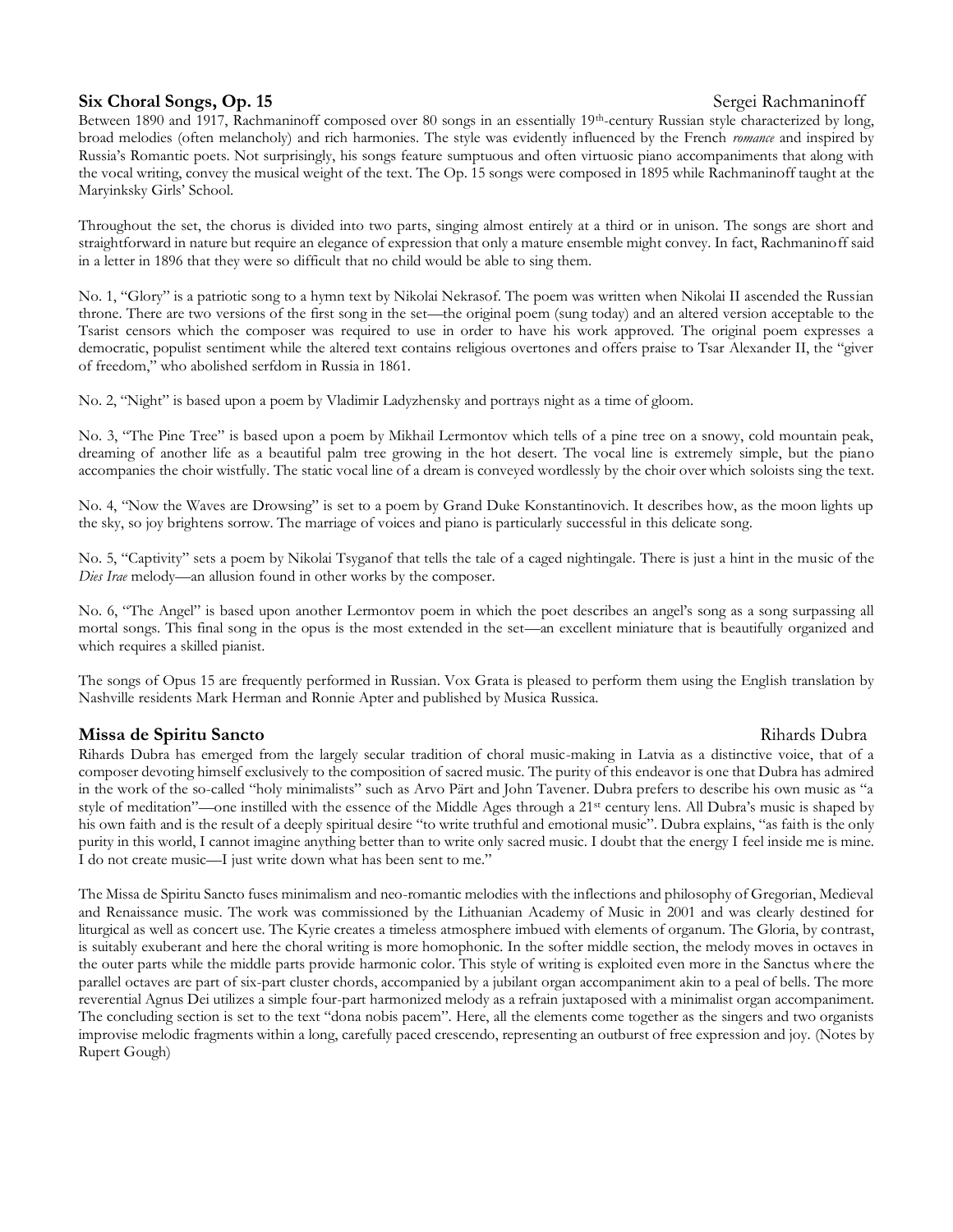### **Six Choral Songs, Op. 15 Sergei Rachmaninoff Sergei Rachmaninoff**

Between 1890 and 1917, Rachmaninoff composed over 80 songs in an essentially 19<sup>th</sup>-century Russian style characterized by long, broad melodies (often melancholy) and rich harmonies. The style was evidently influenced by the French *romance* and inspired by Russia's Romantic poets. Not surprisingly, his songs feature sumptuous and often virtuosic piano accompaniments that along with the vocal writing, convey the musical weight of the text. The Op. 15 songs were composed in 1895 while Rachmaninoff taught at the Maryinksky Girls' School.

Throughout the set, the chorus is divided into two parts, singing almost entirely at a third or in unison. The songs are short and straightforward in nature but require an elegance of expression that only a mature ensemble might convey. In fact, Rachmaninoff said in a letter in 1896 that they were so difficult that no child would be able to sing them.

No. 1, "Glory" is a patriotic song to a hymn text by Nikolai Nekrasof. The poem was written when Nikolai II ascended the Russian throne. There are two versions of the first song in the set—the original poem (sung today) and an altered version acceptable to the Tsarist censors which the composer was required to use in order to have his work approved. The original poem expresses a democratic, populist sentiment while the altered text contains religious overtones and offers praise to Tsar Alexander II, the "giver of freedom," who abolished serfdom in Russia in 1861.

No. 2, "Night" is based upon a poem by Vladimir Ladyzhensky and portrays night as a time of gloom.

No. 3, "The Pine Tree" is based upon a poem by Mikhail Lermontov which tells of a pine tree on a snowy, cold mountain peak, dreaming of another life as a beautiful palm tree growing in the hot desert. The vocal line is extremely simple, but the piano accompanies the choir wistfully. The static vocal line of a dream is conveyed wordlessly by the choir over which soloists sing the text.

No. 4, "Now the Waves are Drowsing" is set to a poem by Grand Duke Konstantinovich. It describes how, as the moon lights up the sky, so joy brightens sorrow. The marriage of voices and piano is particularly successful in this delicate song.

No. 5, "Captivity" sets a poem by Nikolai Tsyganof that tells the tale of a caged nightingale. There is just a hint in the music of the *Dies Irae* melody—an allusion found in other works by the composer.

No. 6, "The Angel" is based upon another Lermontov poem in which the poet describes an angel's song as a song surpassing all mortal songs. This final song in the opus is the most extended in the set—an excellent miniature that is beautifully organized and which requires a skilled pianist.

The songs of Opus 15 are frequently performed in Russian. Vox Grata is pleased to perform them using the English translation by Nashville residents Mark Herman and Ronnie Apter and published by Musica Russica.

### **Missa de Spiritu Sancto** Rihards Dubra

Rihards Dubra has emerged from the largely secular tradition of choral music-making in Latvia as a distinctive voice, that of a composer devoting himself exclusively to the composition of sacred music. The purity of this endeavor is one that Dubra has admired in the work of the so-called "holy minimalists" such as Arvo Pärt and John Tavener. Dubra prefers to describe his own music as "a style of meditation"—one instilled with the essence of the Middle Ages through a 21<sup>st</sup> century lens. All Dubra's music is shaped by his own faith and is the result of a deeply spiritual desire "to write truthful and emotional music". Dubra explains, "as faith is the only purity in this world, I cannot imagine anything better than to write only sacred music. I doubt that the energy I feel inside me is mine. I do not create music—I just write down what has been sent to me."

The Missa de Spiritu Sancto fuses minimalism and neo-romantic melodies with the inflections and philosophy of Gregorian, Medieval and Renaissance music. The work was commissioned by the Lithuanian Academy of Music in 2001 and was clearly destined for liturgical as well as concert use. The Kyrie creates a timeless atmosphere imbued with elements of organum. The Gloria, by contrast, is suitably exuberant and here the choral writing is more homophonic. In the softer middle section, the melody moves in octaves in the outer parts while the middle parts provide harmonic color. This style of writing is exploited even more in the Sanctus where the parallel octaves are part of six-part cluster chords, accompanied by a jubilant organ accompaniment akin to a peal of bells. The more reverential Agnus Dei utilizes a simple four-part harmonized melody as a refrain juxtaposed with a minimalist organ accompaniment. The concluding section is set to the text "dona nobis pacem". Here, all the elements come together as the singers and two organists improvise melodic fragments within a long, carefully paced crescendo, representing an outburst of free expression and joy. (Notes by Rupert Gough)